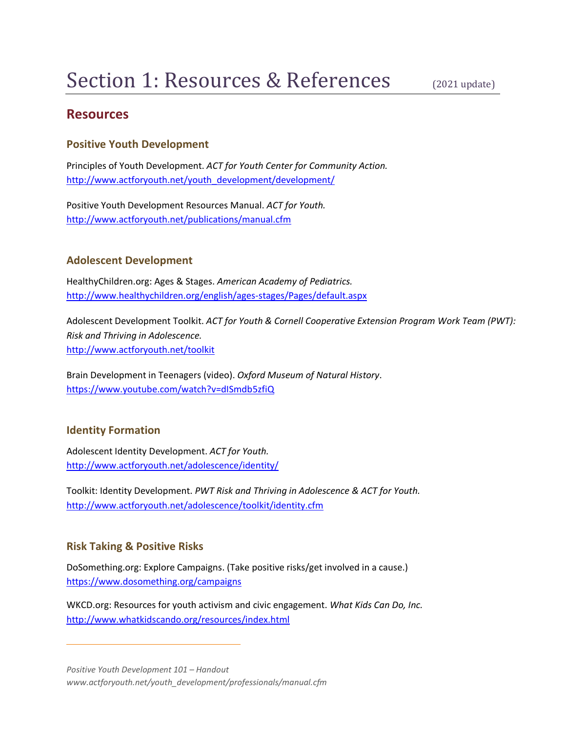# **Resources**

## **Positive Youth Development**

Principles of Youth Development. *ACT for Youth Center for Community Action.* [http://www.actforyouth.net/youth\\_development/development/](http://www.actforyouth.net/youth_development/development/)

Positive Youth Development Resources Manual. *ACT for Youth.* <http://www.actforyouth.net/publications/manual.cfm>

### **Adolescent Development**

HealthyChildren.org: Ages & Stages. *American Academy of Pediatrics.* <http://www.healthychildren.org/english/ages-stages/Pages/default.aspx>

Adolescent Development Toolkit. *ACT for Youth & Cornell Cooperative Extension Program Work Team (PWT): Risk and Thriving in Adolescence.* <http://www.actforyouth.net/toolkit>

Brain Development in Teenagers (video). *Oxford Museum of Natural History*. <https://www.youtube.com/watch?v=dISmdb5zfiQ>

## **Identity Formation**

Adolescent Identity Development. *ACT for Youth.* <http://www.actforyouth.net/adolescence/identity/>

Toolkit: Identity Development. *PWT Risk and Thriving in Adolescence & ACT for Youth.* <http://www.actforyouth.net/adolescence/toolkit/identity.cfm>

#### **Risk Taking & Positive Risks**

DoSomething.org: Explore Campaigns. (Take positive risks/get involved in a cause.) <https://www.dosomething.org/campaigns>

WKCD.org: Resources for youth activism and civic engagement. *What Kids Can Do, Inc.* <http://www.whatkidscando.org/resources/index.html>

*Positive Youth Development 101 – Handout www.actforyouth.net/youth\_development/professionals/manual.cfm*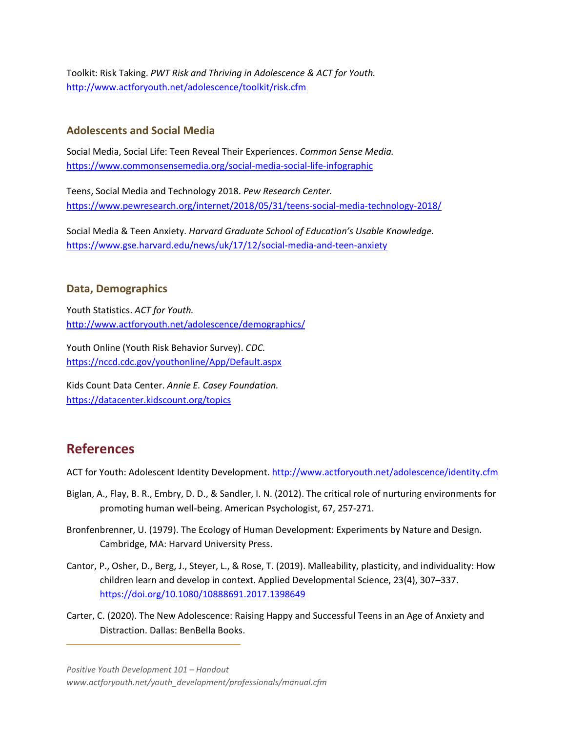Toolkit: Risk Taking. *PWT Risk and Thriving in Adolescence & ACT for Youth.* <http://www.actforyouth.net/adolescence/toolkit/risk.cfm>

### **Adolescents and Social Media**

Social Media, Social Life: Teen Reveal Their Experiences. *Common Sense Media.* <https://www.commonsensemedia.org/social-media-social-life-infographic>

Teens, Social Media and Technology 2018. *Pew Research Center.* <https://www.pewresearch.org/internet/2018/05/31/teens-social-media-technology-2018/>

Social Media & Teen Anxiety. *Harvard Graduate School of Education's Usable Knowledge.*  <https://www.gse.harvard.edu/news/uk/17/12/social-media-and-teen-anxiety>

#### **Data, Demographics**

Youth Statistics. *ACT for Youth.* <http://www.actforyouth.net/adolescence/demographics/>

Youth Online (Youth Risk Behavior Survey). *CDC.* <https://nccd.cdc.gov/youthonline/App/Default.aspx>

Kids Count Data Center. *Annie E. Casey Foundation.* <https://datacenter.kidscount.org/topics>

# **References**

ACT for Youth: Adolescent Identity Development.<http://www.actforyouth.net/adolescence/identity.cfm>

- Biglan, A., Flay, B. R., Embry, D. D., & Sandler, I. N. (2012). The critical role of nurturing environments for promoting human well-being. American Psychologist, 67, 257-271.
- Bronfenbrenner, U. (1979). The Ecology of Human Development: Experiments by Nature and Design. Cambridge, MA: Harvard University Press.
- Cantor, P., Osher, D., Berg, J., Steyer, L., & Rose, T. (2019). Malleability, plasticity, and individuality: How children learn and develop in context. Applied Developmental Science, 23(4), 307–337. <https://doi.org/10.1080/10888691.2017.1398649>
- Carter, C. (2020). The New Adolescence: Raising Happy and Successful Teens in an Age of Anxiety and Distraction. Dallas: BenBella Books.